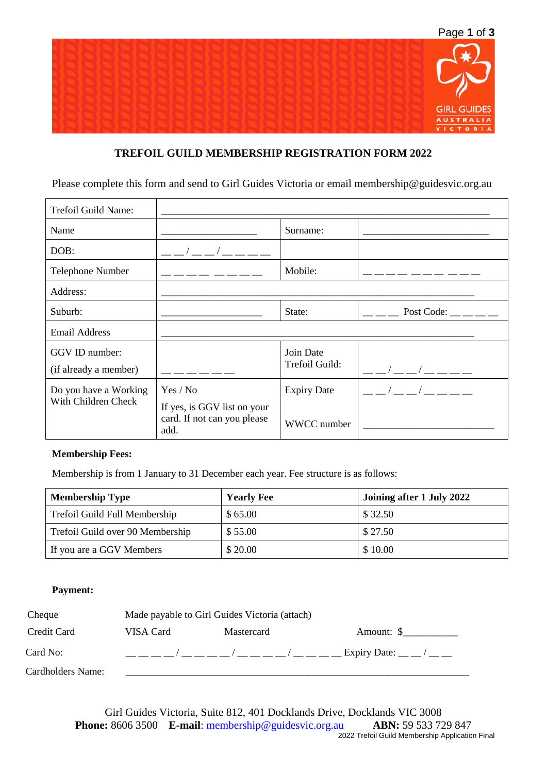

# **TREFOIL GUILD MEMBERSHIP REGISTRATION FORM 2022**

Please complete this form and send to Girl Guides Victoria or email membership@guidesvic.org.au

| Trefoil Guild Name:                          |                                                                        |                                   |                          |
|----------------------------------------------|------------------------------------------------------------------------|-----------------------------------|--------------------------|
| Name                                         |                                                                        | Surname:                          |                          |
| DOB:                                         | $\sqrt{2}$                                                             |                                   |                          |
| Telephone Number                             |                                                                        | Mobile:                           |                          |
| Address:                                     |                                                                        |                                   |                          |
| Suburb:                                      |                                                                        | State:                            | Post Code: $\_\_$ $\_\_$ |
| <b>Email Address</b>                         |                                                                        |                                   |                          |
| GGV ID number:                               |                                                                        | Join Date                         |                          |
| (if already a member)                        |                                                                        | Trefoil Guild:                    | $\sqrt{2}$               |
| Do you have a Working<br>With Children Check | Yes / No<br>If yes, is GGV list on your<br>card. If not can you please | <b>Expiry Date</b><br>WWCC number | $\sqrt{2}$               |

### **Membership Fees:**

Membership is from 1 January to 31 December each year. Fee structure is as follows:

| <b>Membership Type</b>           | <b>Yearly Fee</b> | Joining after 1 July 2022 |  |  |  |
|----------------------------------|-------------------|---------------------------|--|--|--|
| Trefoil Guild Full Membership    | \$65.00           | \$32.50                   |  |  |  |
| Trefoil Guild over 90 Membership | \$55.00           | \$27.50                   |  |  |  |
| If you are a GGV Members         | \$20.00           | \$10.00                   |  |  |  |

#### **Payment:**

| Cheque            | Made payable to Girl Guides Victoria (attach) |                                                                                                                                                                                                                                                                                         |                            |  |  |  |  |
|-------------------|-----------------------------------------------|-----------------------------------------------------------------------------------------------------------------------------------------------------------------------------------------------------------------------------------------------------------------------------------------|----------------------------|--|--|--|--|
| Credit Card       | VISA Card                                     | Mastercard                                                                                                                                                                                                                                                                              | Amount: $\frac{1}{2}$      |  |  |  |  |
| Card No:          |                                               | $\sqrt{2}$ and $\sqrt{2}$ and $\sqrt{2}$ and $\sqrt{2}$ and $\sqrt{2}$ and $\sqrt{2}$ and $\sqrt{2}$ and $\sqrt{2}$ and $\sqrt{2}$ and $\sqrt{2}$ and $\sqrt{2}$ and $\sqrt{2}$ and $\sqrt{2}$ and $\sqrt{2}$ and $\sqrt{2}$ and $\sqrt{2}$ and $\sqrt{2}$ and $\sqrt{2}$ and $\sqrt{2$ | Expiry Date: $\_\_$ $\_\_$ |  |  |  |  |
| Cardholders Name: |                                               |                                                                                                                                                                                                                                                                                         |                            |  |  |  |  |

Girl Guides Victoria, Suite 812, 401 Docklands Drive, Docklands VIC 3008 **Phone:** 8606 3500 **E-mail**: membership@guidesvic.org.au **ABN:** 59 533 729 847 2022 Trefoil Guild Membership Application Final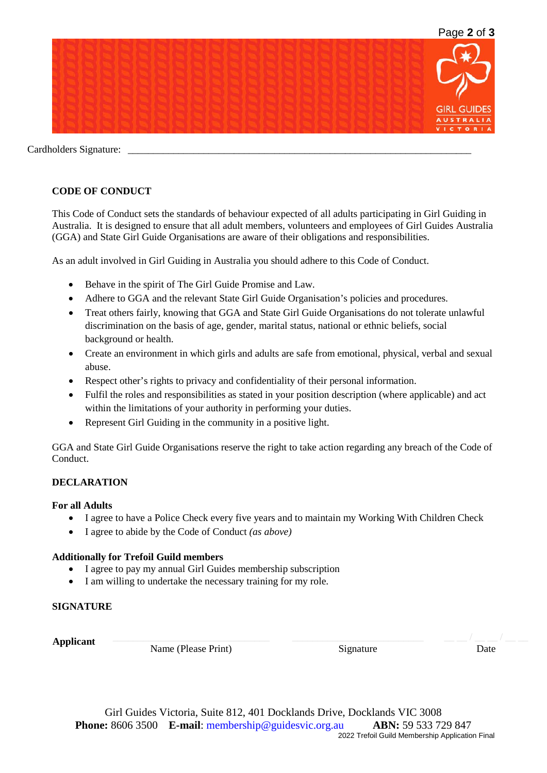

Cardholders Signature:

# **CODE OF CONDUCT**

This Code of Conduct sets the standards of behaviour expected of all adults participating in Girl Guiding in Australia. It is designed to ensure that all adult members, volunteers and employees of Girl Guides Australia (GGA) and State Girl Guide Organisations are aware of their obligations and responsibilities.

As an adult involved in Girl Guiding in Australia you should adhere to this Code of Conduct.

- Behave in the spirit of The Girl Guide Promise and Law.
- Adhere to GGA and the relevant State Girl Guide Organisation's policies and procedures.
- Treat others fairly, knowing that GGA and State Girl Guide Organisations do not tolerate unlawful discrimination on the basis of age, gender, marital status, national or ethnic beliefs, social background or health.
- Create an environment in which girls and adults are safe from emotional, physical, verbal and sexual abuse.
- Respect other's rights to privacy and confidentiality of their personal information.
- Fulfil the roles and responsibilities as stated in your position description (where applicable) and act within the limitations of your authority in performing your duties.
- Represent Girl Guiding in the community in a positive light.

GGA and State Girl Guide Organisations reserve the right to take action regarding any breach of the Code of Conduct.

### **DECLARATION**

#### **For all Adults**

- I agree to have a Police Check every five years and to maintain my Working With Children Check
- I agree to abide by the Code of Conduct *(as above)*

#### **Additionally for Trefoil Guild members**

- I agree to pay my annual Girl Guides membership subscription
- I am willing to undertake the necessary training for my role.

### **SIGNATURE**

**Applicant** \_\_\_\_\_\_\_\_\_\_\_\_\_\_\_\_\_\_\_\_\_\_\_\_\_\_\_\_\_\_\_

Name (Please Print)

Signature

Date